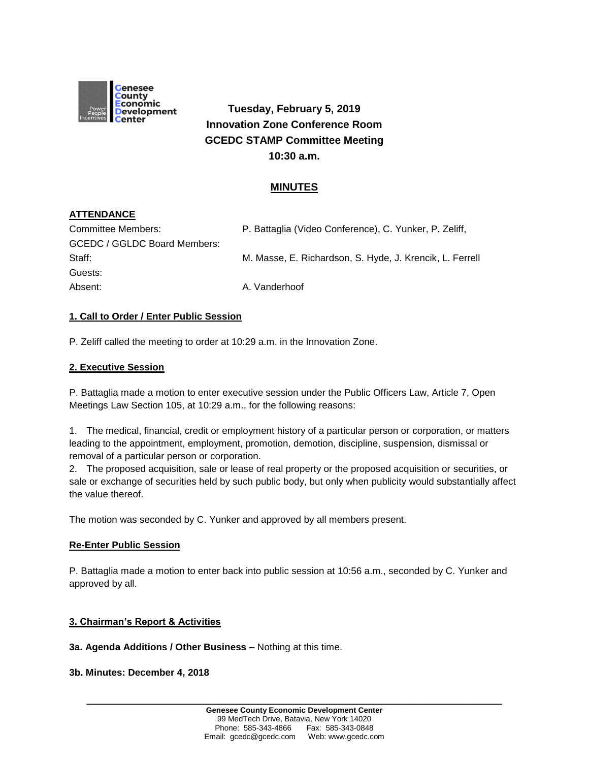

**Tuesday, February 5, 2019 Innovation Zone Conference Room GCEDC STAMP Committee Meeting 10:30 a.m.**

# **MINUTES**

# **ATTENDANCE**

| Committee Members:           | P. Battaglia (Video Conference), C. Yunker, P. Zeliff,   |
|------------------------------|----------------------------------------------------------|
| GCEDC / GGLDC Board Members: |                                                          |
| Staff:                       | M. Masse, E. Richardson, S. Hyde, J. Krencik, L. Ferrell |
| Guests:                      |                                                          |
| Absent:                      | A. Vanderhoof                                            |

### **1. Call to Order / Enter Public Session**

P. Zeliff called the meeting to order at 10:29 a.m. in the Innovation Zone.

### **2. Executive Session**

P. Battaglia made a motion to enter executive session under the Public Officers Law, Article 7, Open Meetings Law Section 105, at 10:29 a.m., for the following reasons:

1. The medical, financial, credit or employment history of a particular person or corporation, or matters leading to the appointment, employment, promotion, demotion, discipline, suspension, dismissal or removal of a particular person or corporation.

2. The proposed acquisition, sale or lease of real property or the proposed acquisition or securities, or sale or exchange of securities held by such public body, but only when publicity would substantially affect the value thereof.

The motion was seconded by C. Yunker and approved by all members present.

### **Re-Enter Public Session**

P. Battaglia made a motion to enter back into public session at 10:56 a.m., seconded by C. Yunker and approved by all.

### **3. Chairman's Report & Activities**

**3a. Agenda Additions / Other Business –** Nothing at this time.

#### **3b. Minutes: December 4, 2018**

**\_\_\_\_\_\_\_\_\_\_\_\_\_\_\_\_\_\_\_\_\_\_\_\_\_\_\_\_\_\_\_\_\_\_\_\_\_\_\_\_\_\_\_\_\_\_\_\_\_\_\_\_\_\_\_\_\_\_\_\_\_\_\_\_\_\_\_\_\_\_\_\_**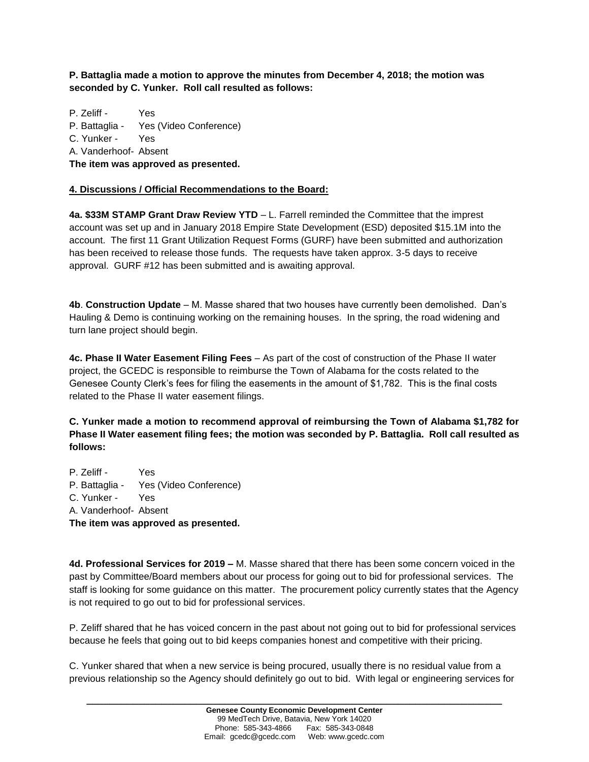**P. Battaglia made a motion to approve the minutes from December 4, 2018; the motion was seconded by C. Yunker. Roll call resulted as follows:**

P. Zeliff - Yes P. Battaglia - Yes (Video Conference) C. Yunker - Yes A. Vanderhoof- Absent **The item was approved as presented.**

## **4. Discussions / Official Recommendations to the Board:**

**4a. \$33M STAMP Grant Draw Review YTD** – L. Farrell reminded the Committee that the imprest account was set up and in January 2018 Empire State Development (ESD) deposited \$15.1M into the account. The first 11 Grant Utilization Request Forms (GURF) have been submitted and authorization has been received to release those funds. The requests have taken approx. 3-5 days to receive approval. GURF #12 has been submitted and is awaiting approval.

**4b**. **Construction Update** – M. Masse shared that two houses have currently been demolished. Dan's Hauling & Demo is continuing working on the remaining houses. In the spring, the road widening and turn lane project should begin.

**4c. Phase II Water Easement Filing Fees** – As part of the cost of construction of the Phase II water project, the GCEDC is responsible to reimburse the Town of Alabama for the costs related to the Genesee County Clerk's fees for filing the easements in the amount of \$1,782. This is the final costs related to the Phase II water easement filings.

**C. Yunker made a motion to recommend approval of reimbursing the Town of Alabama \$1,782 for Phase II Water easement filing fees; the motion was seconded by P. Battaglia. Roll call resulted as follows:**

P. Zeliff - Yes P. Battaglia - Yes (Video Conference) C. Yunker - Yes A. Vanderhoof- Absent **The item was approved as presented.**

**4d. Professional Services for 2019 –** M. Masse shared that there has been some concern voiced in the past by Committee/Board members about our process for going out to bid for professional services. The staff is looking for some guidance on this matter. The procurement policy currently states that the Agency is not required to go out to bid for professional services.

P. Zeliff shared that he has voiced concern in the past about not going out to bid for professional services because he feels that going out to bid keeps companies honest and competitive with their pricing.

C. Yunker shared that when a new service is being procured, usually there is no residual value from a previous relationship so the Agency should definitely go out to bid. With legal or engineering services for

**\_\_\_\_\_\_\_\_\_\_\_\_\_\_\_\_\_\_\_\_\_\_\_\_\_\_\_\_\_\_\_\_\_\_\_\_\_\_\_\_\_\_\_\_\_\_\_\_\_\_\_\_\_\_\_\_\_\_\_\_\_\_\_\_\_\_\_\_\_\_\_\_**